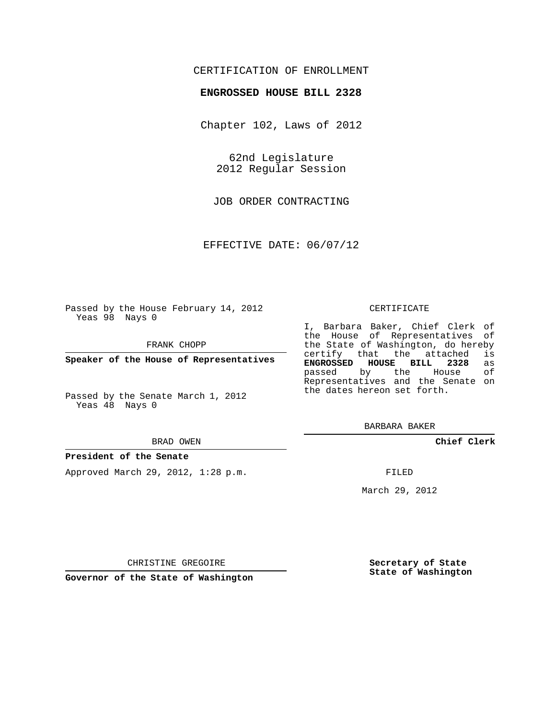## CERTIFICATION OF ENROLLMENT

#### **ENGROSSED HOUSE BILL 2328**

Chapter 102, Laws of 2012

62nd Legislature 2012 Regular Session

JOB ORDER CONTRACTING

EFFECTIVE DATE: 06/07/12

Passed by the House February 14, 2012 Yeas 98 Nays 0

FRANK CHOPP

**Speaker of the House of Representatives**

Passed by the Senate March 1, 2012 Yeas 48 Nays 0

#### BRAD OWEN

#### **President of the Senate**

Approved March 29, 2012, 1:28 p.m.

#### CERTIFICATE

I, Barbara Baker, Chief Clerk of the House of Representatives of the State of Washington, do hereby<br>certify that the attached is certify that the attached **ENGROSSED HOUSE BILL 2328** as passed by the House Representatives and the Senate on the dates hereon set forth.

BARBARA BAKER

**Chief Clerk**

FILED

March 29, 2012

**Secretary of State State of Washington**

CHRISTINE GREGOIRE

**Governor of the State of Washington**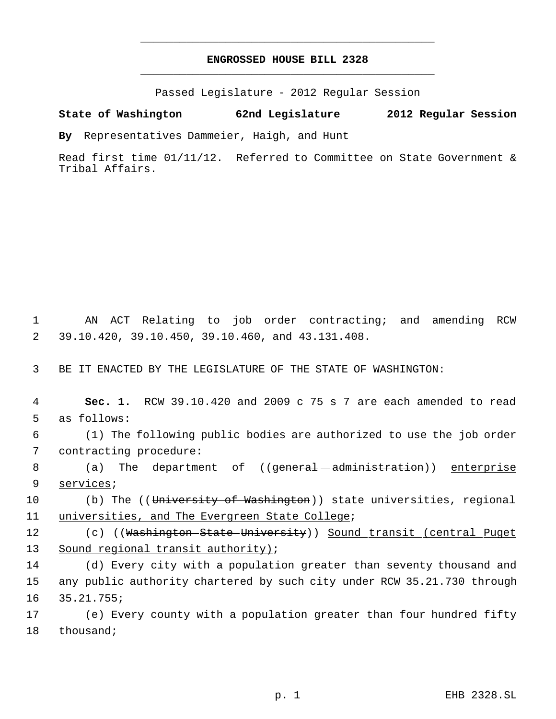# **ENGROSSED HOUSE BILL 2328** \_\_\_\_\_\_\_\_\_\_\_\_\_\_\_\_\_\_\_\_\_\_\_\_\_\_\_\_\_\_\_\_\_\_\_\_\_\_\_\_\_\_\_\_\_

\_\_\_\_\_\_\_\_\_\_\_\_\_\_\_\_\_\_\_\_\_\_\_\_\_\_\_\_\_\_\_\_\_\_\_\_\_\_\_\_\_\_\_\_\_

Passed Legislature - 2012 Regular Session

## **State of Washington 62nd Legislature 2012 Regular Session**

**By** Representatives Dammeier, Haigh, and Hunt

Read first time 01/11/12. Referred to Committee on State Government & Tribal Affairs.

 1 AN ACT Relating to job order contracting; and amending RCW 2 39.10.420, 39.10.450, 39.10.460, and 43.131.408.

3 BE IT ENACTED BY THE LEGISLATURE OF THE STATE OF WASHINGTON:

 4 **Sec. 1.** RCW 39.10.420 and 2009 c 75 s 7 are each amended to read 5 as follows:

 6 (1) The following public bodies are authorized to use the job order 7 contracting procedure:

8 (a) The department of ((<del>general administration</del>)) <u>enterprise</u> 9 services;

10 (b) The ((University of Washington)) state universities, regional 11 universities, and The Evergreen State College;

12 (c) ((Washington State University)) Sound transit (central Puget 13 Sound regional transit authority);

14 (d) Every city with a population greater than seventy thousand and 15 any public authority chartered by such city under RCW 35.21.730 through 16 35.21.755;

17 (e) Every county with a population greater than four hundred fifty 18 thousand;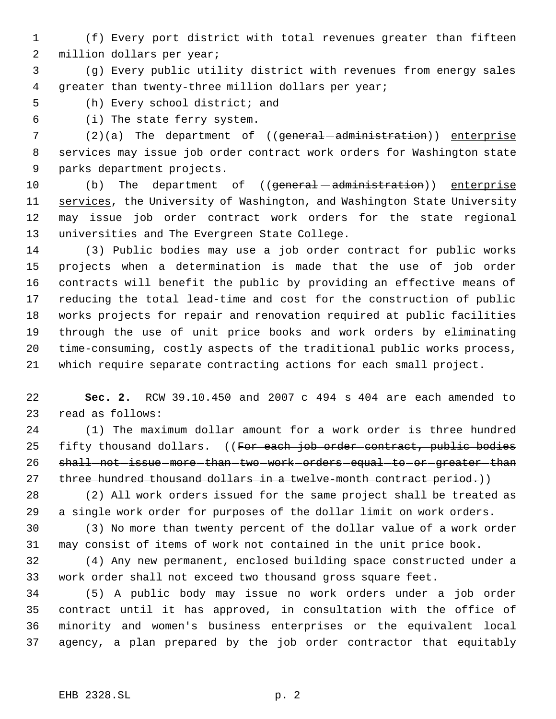(f) Every port district with total revenues greater than fifteen million dollars per year;

 (g) Every public utility district with revenues from energy sales greater than twenty-three million dollars per year;

(h) Every school district; and

(i) The state ferry system.

7 (2)(a) The department of (( $q$ eneral  $-d$ ministration)) enterprise 8 services may issue job order contract work orders for Washington state parks department projects.

10 (b) The department of ((<del>general administration</del>)) enterprise 11 services, the University of Washington, and Washington State University may issue job order contract work orders for the state regional universities and The Evergreen State College.

 (3) Public bodies may use a job order contract for public works projects when a determination is made that the use of job order contracts will benefit the public by providing an effective means of reducing the total lead-time and cost for the construction of public works projects for repair and renovation required at public facilities through the use of unit price books and work orders by eliminating time-consuming, costly aspects of the traditional public works process, which require separate contracting actions for each small project.

 **Sec. 2.** RCW 39.10.450 and 2007 c 494 s 404 are each amended to read as follows:

 (1) The maximum dollar amount for a work order is three hundred 25 fifty thousand dollars. ((For each job order contract, public bodies 26 shall-not-issue-more-than-two-work-orders-equal-to-or-greater-than 27 three hundred thousand dollars in a twelve-month contract period.))

 (2) All work orders issued for the same project shall be treated as a single work order for purposes of the dollar limit on work orders.

 (3) No more than twenty percent of the dollar value of a work order may consist of items of work not contained in the unit price book.

 (4) Any new permanent, enclosed building space constructed under a work order shall not exceed two thousand gross square feet.

 (5) A public body may issue no work orders under a job order contract until it has approved, in consultation with the office of minority and women's business enterprises or the equivalent local agency, a plan prepared by the job order contractor that equitably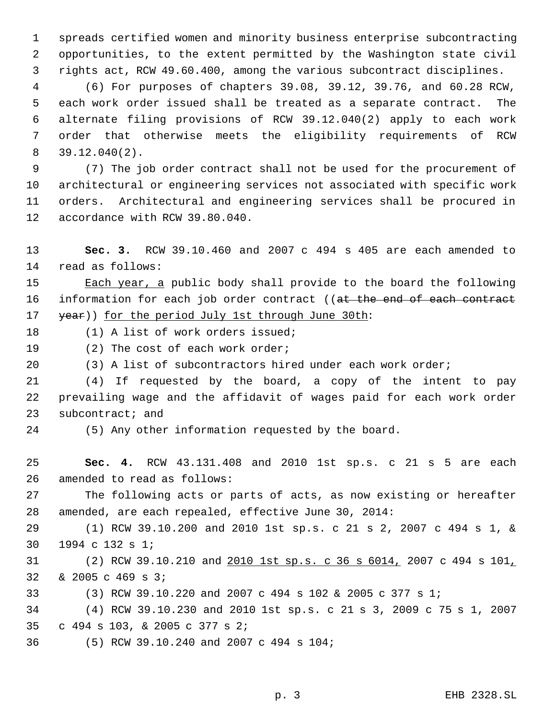spreads certified women and minority business enterprise subcontracting opportunities, to the extent permitted by the Washington state civil rights act, RCW 49.60.400, among the various subcontract disciplines.

 (6) For purposes of chapters 39.08, 39.12, 39.76, and 60.28 RCW, each work order issued shall be treated as a separate contract. The alternate filing provisions of RCW 39.12.040(2) apply to each work order that otherwise meets the eligibility requirements of RCW 39.12.040(2).

 (7) The job order contract shall not be used for the procurement of architectural or engineering services not associated with specific work orders. Architectural and engineering services shall be procured in accordance with RCW 39.80.040.

 **Sec. 3.** RCW 39.10.460 and 2007 c 494 s 405 are each amended to read as follows:

15 Each year, a public body shall provide to the board the following 16 information for each job order contract ((at the end of each contract 17 year)) for the period July 1st through June 30th:

- (1) A list of work orders issued;
- 19 (2) The cost of each work order;
- (3) A list of subcontractors hired under each work order;

 (4) If requested by the board, a copy of the intent to pay prevailing wage and the affidavit of wages paid for each work order 23 subcontract; and

- 
- (5) Any other information requested by the board.

 **Sec. 4.** RCW 43.131.408 and 2010 1st sp.s. c 21 s 5 are each amended to read as follows:

 The following acts or parts of acts, as now existing or hereafter amended, are each repealed, effective June 30, 2014:

 (1) RCW 39.10.200 and 2010 1st sp.s. c 21 s 2, 2007 c 494 s 1, & 1994 c 132 s 1;

 (2) RCW 39.10.210 and 2010 1st sp.s. c 36 s 6014, 2007 c 494 s 101, & 2005 c 469 s 3;

(3) RCW 39.10.220 and 2007 c 494 s 102 & 2005 c 377 s 1;

 (4) RCW 39.10.230 and 2010 1st sp.s. c 21 s 3, 2009 c 75 s 1, 2007 c 494 s 103, & 2005 c 377 s 2;

(5) RCW 39.10.240 and 2007 c 494 s 104;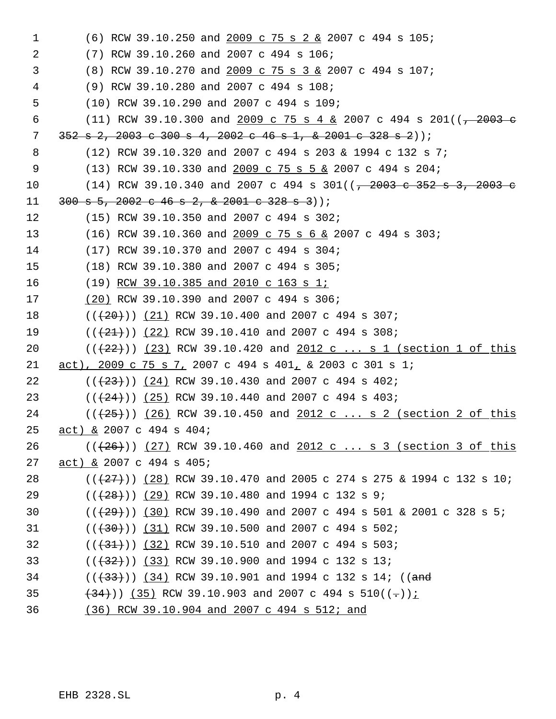(6) RCW 39.10.250 and  $2009$  c 75 s 2 & 2007 c 494 s 105;  $\mathbf 1$  $\overline{2}$ (7) RCW 39.10.260 and 2007 c 494 s 106; (8) RCW 39.10.270 and 2009 c 75 s 3 & 2007 c 494 s 107;  $\mathsf{3}$ (9) RCW 39.10.280 and 2007 c 494 s 108;  $\overline{4}$ 5 (10) RCW 39.10.290 and 2007 c 494 s 109; (11) RCW 39.10.300 and 2009 c 75 s 4 & 2007 c 494 s 201( $\left(-2003 - e\right)$ 6  $7\overline{ }$  $352$  s 2, 2003 c 300 s 4, 2002 c 46 s 1, & 2001 c 328 s 2));  $(12)$  RCW 39.10.320 and 2007 c 494 s 203 & 1994 c 132 s 7; 8 9 (13) RCW 39.10.330 and  $2009$  c 75 s 5 & 2007 c 494 s 204;  $(14)$  RCW 39.10.340 and 2007 c 494 s 301( $\left(-2003 \text{ e } 352 \text{ s } 3, 2003 \text{ e } 352 \text{ s} \right)$  $10$  $11$  $300 s 5, 2002 c 46 s 2, 2001 c 328 s 3)$ ;  $12<sup>°</sup>$ (15) RCW 39.10.350 and 2007 c 494 s 302;  $13$  $(16)$  RCW 39.10.360 and 2009 c 75 s 6 & 2007 c 494 s 303; (17) RCW 39.10.370 and 2007 c 494 s 304; 14 (18) RCW 39.10.380 and 2007 c 494 s 305;  $15$ 16  $(19)$  RCW 39.10.385 and 2010 c 163 s 1;  $17$ (20) RCW 39.10.390 and 2007 c 494 s 306;  $((+20))$  (21) RCW 39.10.400 and 2007 c 494 s 307; 18 19  $((+21+))$  (22) RCW 39.10.410 and 2007 c 494 s 308; 20  $((+22))$  (23) RCW 39.10.420 and 2012 c ... s 1 (section 1 of this act), 2009 c 75 s 7, 2007 c 494 s 401, & 2003 c 301 s 1;  $21$ 22  $((+23))$  (24) RCW 39.10.430 and 2007 c 494 s 402; 23  $((+24))$  (25) RCW 39.10.440 and 2007 c 494 s 403;  $((+25))$  (26) RCW 39.10.450 and 2012 c ... s 2 (section 2 of this 24 25  $act)$  & 2007 c 494 s 404; 26  $((+26))$  (27) RCW 39.10.460 and 2012 c ... s 3 (section 3 of this 27 act) & 2007 c 494 s 405;  $((+27))$  (28) RCW 39.10.470 and 2005 c 274 s 275 & 1994 c 132 s 10; 28  $((+28))$  (29) RCW 39.10.480 and 1994 c 132 s 9; 29  $((+29))$  (30) RCW 39.10.490 and 2007 c 494 s 501 & 2001 c 328 s 5; 30  $31$  $((+30))$   $(31)$  RCW 39.10.500 and 2007 c 494 s 502; 32  $((+31))$  (32) RCW 39.10.510 and 2007 c 494 s 503; 33  $((+32))$  (33) RCW 39.10.900 and 1994 c 132 s 13;  $((+33))$  (34) RCW 39.10.901 and 1994 c 132 s 14; ((and 34 35  $(\frac{134}{1})$  (35) RCW 39.10.903 and 2007 c 494 s 510((-))<u>;</u> (36) RCW 39.10.904 and 2007 c 494 s 512; and 36